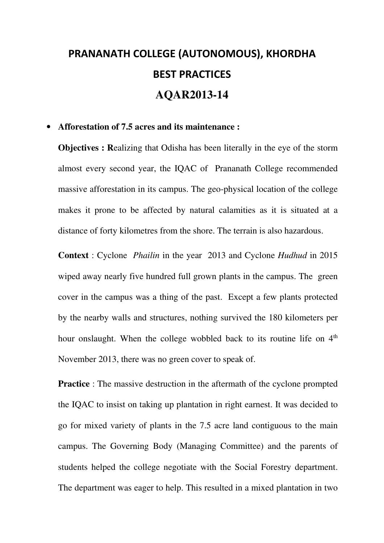## **PRANANATH COLLEGE (AUTONOMOUS), KHORDHA BEST PRACTICES AQAR2013-14**

## • **Afforestation of 7.5 acres and its maintenance :**

**Objectives : R**ealizing that Odisha has been literally in the eye of the storm almost every second year, the IQAC of Prananath College recommended massive afforestation in its campus. The geo-physical location of the college makes it prone to be affected by natural calamities as it is situated at a distance of forty kilometres from the shore. The terrain is also hazardous.

**Context** : Cyclone *Phailin* in the year 2013 and Cyclone *Hudhud* in 2015 wiped away nearly five hundred full grown plants in the campus. The green cover in the campus was a thing of the past. Except a few plants protected by the nearby walls and structures, nothing survived the 180 kilometers per hour onslaught. When the college wobbled back to its routine life on 4<sup>th</sup> November 2013, there was no green cover to speak of.

**Practice** : The massive destruction in the aftermath of the cyclone prompted the IQAC to insist on taking up plantation in right earnest. It was decided to go for mixed variety of plants in the 7.5 acre land contiguous to the main campus. The Governing Body (Managing Committee) and the parents of students helped the college negotiate with the Social Forestry department. The department was eager to help. This resulted in a mixed plantation in two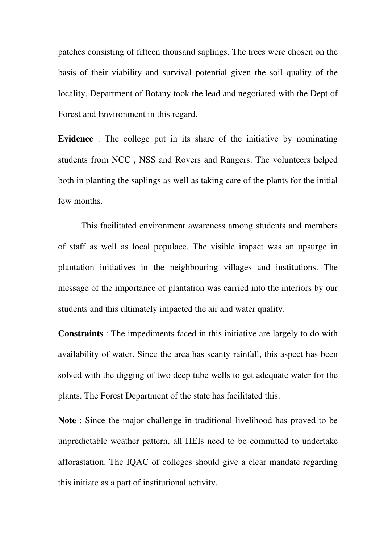patches consisting of fifteen thousand saplings. The trees were chosen on the basis of their viability and survival potential given the soil quality of the locality. Department of Botany took the lead and negotiated with the Dept of Forest and Environment in this regard.

**Evidence**: The college put in its share of the initiative by nominating students from NCC , NSS and Rovers and Rangers. The volunteers helped both in planting the saplings as well as taking care of the plants for the initial few months.

This facilitated environment awareness among students and members of staff as well as local populace. The visible impact was an upsurge in plantation initiatives in the neighbouring villages and institutions. The message of the importance of plantation was carried into the interiors by our students and this ultimately impacted the air and water quality.

**Constraints** : The impediments faced in this initiative are largely to do with availability of water. Since the area has scanty rainfall, this aspect has been solved with the digging of two deep tube wells to get adequate water for the plants. The Forest Department of the state has facilitated this.

**Note** : Since the major challenge in traditional livelihood has proved to be unpredictable weather pattern, all HEIs need to be committed to undertake afforastation. The IQAC of colleges should give a clear mandate regarding this initiate as a part of institutional activity.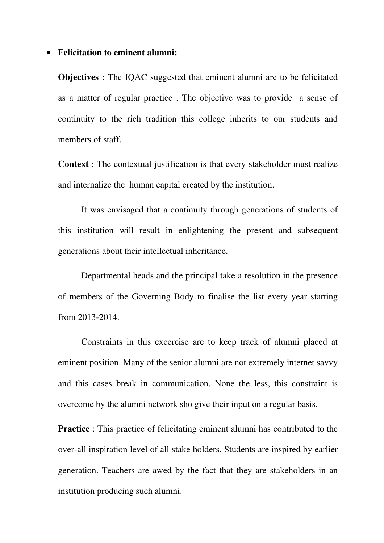## • **Felicitation to eminent alumni:**

**Objectives :** The IQAC suggested that eminent alumni are to be felicitated as a matter of regular practice . The objective was to provide a sense of continuity to the rich tradition this college inherits to our students and members of staff.

**Context** : The contextual justification is that every stakeholder must realize and internalize the human capital created by the institution.

It was envisaged that a continuity through generations of students of this institution will result in enlightening the present and subsequent generations about their intellectual inheritance.

Departmental heads and the principal take a resolution in the presence of members of the Governing Body to finalise the list every year starting from 2013-2014.

Constraints in this excercise are to keep track of alumni placed at eminent position. Many of the senior alumni are not extremely internet savvy and this cases break in communication. None the less, this constraint is overcome by the alumni network sho give their input on a regular basis.

**Practice**: This practice of felicitating eminent alumni has contributed to the over-all inspiration level of all stake holders. Students are inspired by earlier generation. Teachers are awed by the fact that they are stakeholders in an institution producing such alumni.